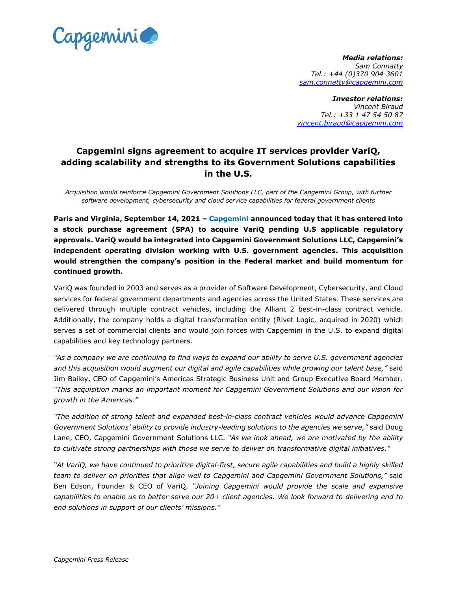

*Media relations: Sam Connatty Tel.: +44 (0)370 904 3601 sam.connatty@capgemini.com*

*Investor relations: Vincent Biraud Tel.: +33 1 47 54 50 87 vincent.biraud@capgemini.com*

## **Capgemini signs agreement to acquire IT services provider VariQ, adding scalability and strengths to its Government Solutions capabilities in the U.S.**

*Acquisition would reinforce Capgemini Government Solutions LLC, part of the Capgemini Group, with further software development, cybersecurity and cloud service capabilities for federal government clients*

**Paris and Virginia, September 14, 2021 – [Capgemini](http://www.capgemini.com/) announced today that it has entered into a stock purchase agreement (SPA) to acquire VariQ pending U.S applicable regulatory approvals. VariQ would be integrated into Capgemini Government Solutions LLC, Capgemini's independent operating division working with U.S. government agencies. This acquisition would strengthen the company's position in the Federal market and build momentum for continued growth.** 

VariQ was founded in 2003 and serves as a provider of Software Development, Cybersecurity, and Cloud services for federal government departments and agencies across the United States. These services are delivered through multiple contract vehicles, including the Alliant 2 best-in-class contract vehicle. Additionally, the company holds a digital transformation entity (Rivet Logic, acquired in 2020) which serves a set of commercial clients and would join forces with Capgemini in the U.S. to expand digital capabilities and key technology partners.

*"As a company we are continuing to find ways to expand our ability to serve U.S. government agencies and this acquisition would augment our digital and agile capabilities while growing our talent base,"* said Jim Bailey, CEO of Capgemini's Americas Strategic Business Unit and Group Executive Board Member. *"This acquisition marks an important moment for Capgemini Government Solutions and our vision for growth in the Americas."*

*"The addition of strong talent and expanded best-in-class contract vehicles would advance Capgemini Government Solutions' ability to provide industry-leading solutions to the agencies we serve,"* said Doug Lane, CEO, Capgemini Government Solutions LLC. *"As we look ahead, we are motivated by the ability to cultivate strong partnerships with those we serve to deliver on transformative digital initiatives."*

*"At VariQ, we have continued to prioritize digital-first, secure agile capabilities and build a highly skilled team to deliver on priorities that align well to Capgemini and Capgemini Government Solutions,"* said Ben Edson, Founder & CEO of VariQ. *"Joining Capgemini would provide the scale and expansive capabilities to enable us to better serve our 20+ client agencies. We look forward to delivering end to end solutions in support of our clients' missions."*